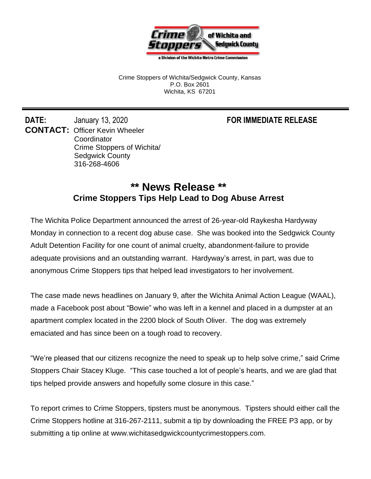

a Division of the Wichita Metro Crime Commission

Crime Stoppers of Wichita/Sedgwick County, Kansas P.O. Box 2601 Wichita, KS 67201

**DATE:** January 13, 2020 **FOR IMMEDIATE RELEASE CONTACT: Officer Kevin Wheeler** Coordinator Crime Stoppers of Wichita/ Sedgwick County 316-268-4606

## **\*\* News Release \*\* Crime Stoppers Tips Help Lead to Dog Abuse Arrest**

The Wichita Police Department announced the arrest of 26-year-old Raykesha Hardyway Monday in connection to a recent dog abuse case. She was booked into the Sedgwick County Adult Detention Facility for one count of animal cruelty, abandonment-failure to provide adequate provisions and an outstanding warrant. Hardyway's arrest, in part, was due to anonymous Crime Stoppers tips that helped lead investigators to her involvement.

The case made news headlines on January 9, after the Wichita Animal Action League (WAAL), made a Facebook post about "Bowie" who was left in a kennel and placed in a dumpster at an apartment complex located in the 2200 block of South Oliver. The dog was extremely emaciated and has since been on a tough road to recovery.

"We're pleased that our citizens recognize the need to speak up to help solve crime," said Crime Stoppers Chair Stacey Kluge. "This case touched a lot of people's hearts, and we are glad that tips helped provide answers and hopefully some closure in this case."

To report crimes to Crime Stoppers, tipsters must be anonymous. Tipsters should either call the Crime Stoppers hotline at 316-267-2111, submit a tip by downloading the FREE P3 app, or by submitting a tip online at www.wichitasedgwickcountycrimestoppers.com.